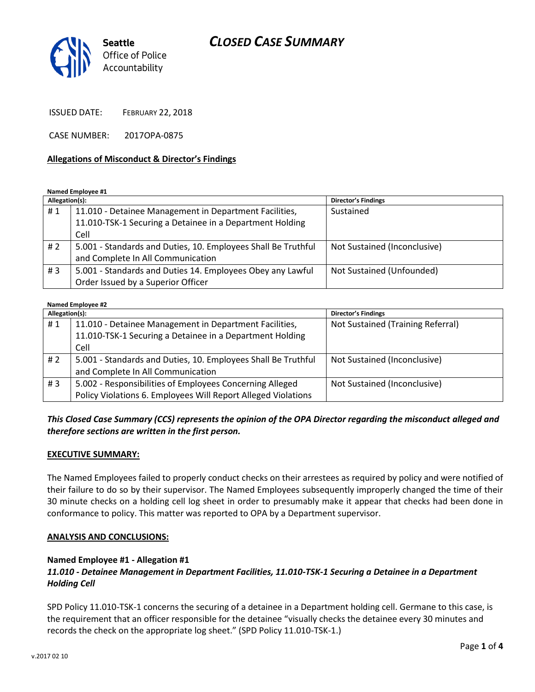# *CLOSED CASE SUMMARY*



ISSUED DATE: FEBRUARY 22, 2018

CASE NUMBER: 2017OPA-0875

#### **Allegations of Misconduct & Director's Findings**

**Named Employee #1**

| Allegation(s): |                                                               | <b>Director's Findings</b>   |
|----------------|---------------------------------------------------------------|------------------------------|
| #1             | 11.010 - Detainee Management in Department Facilities,        | Sustained                    |
|                | 11.010-TSK-1 Securing a Detainee in a Department Holding      |                              |
|                | Cell                                                          |                              |
| #2             | 5.001 - Standards and Duties, 10. Employees Shall Be Truthful | Not Sustained (Inconclusive) |
|                | and Complete In All Communication                             |                              |
| #3             | 5.001 - Standards and Duties 14. Employees Obey any Lawful    | Not Sustained (Unfounded)    |
|                | Order Issued by a Superior Officer                            |                              |

| <b>Named Employee #2</b> |                                                               |                                   |  |
|--------------------------|---------------------------------------------------------------|-----------------------------------|--|
| Allegation(s):           |                                                               | <b>Director's Findings</b>        |  |
| #1                       | 11.010 - Detainee Management in Department Facilities,        | Not Sustained (Training Referral) |  |
|                          | 11.010-TSK-1 Securing a Detainee in a Department Holding      |                                   |  |
|                          | Cell                                                          |                                   |  |
| # 2                      | 5.001 - Standards and Duties, 10. Employees Shall Be Truthful | Not Sustained (Inconclusive)      |  |
|                          | and Complete In All Communication                             |                                   |  |
| #3                       | 5.002 - Responsibilities of Employees Concerning Alleged      | Not Sustained (Inconclusive)      |  |
|                          | Policy Violations 6. Employees Will Report Alleged Violations |                                   |  |

#### *This Closed Case Summary (CCS) represents the opinion of the OPA Director regarding the misconduct alleged and therefore sections are written in the first person.*

#### **EXECUTIVE SUMMARY:**

The Named Employees failed to properly conduct checks on their arrestees as required by policy and were notified of their failure to do so by their supervisor. The Named Employees subsequently improperly changed the time of their 30 minute checks on a holding cell log sheet in order to presumably make it appear that checks had been done in conformance to policy. This matter was reported to OPA by a Department supervisor.

#### **ANALYSIS AND CONCLUSIONS:**

#### **Named Employee #1 - Allegation #1**

## *11.010 - Detainee Management in Department Facilities, 11.010-TSK-1 Securing a Detainee in a Department Holding Cell*

SPD Policy 11.010-TSK-1 concerns the securing of a detainee in a Department holding cell. Germane to this case, is the requirement that an officer responsible for the detainee "visually checks the detainee every 30 minutes and records the check on the appropriate log sheet." (SPD Policy 11.010-TSK-1.)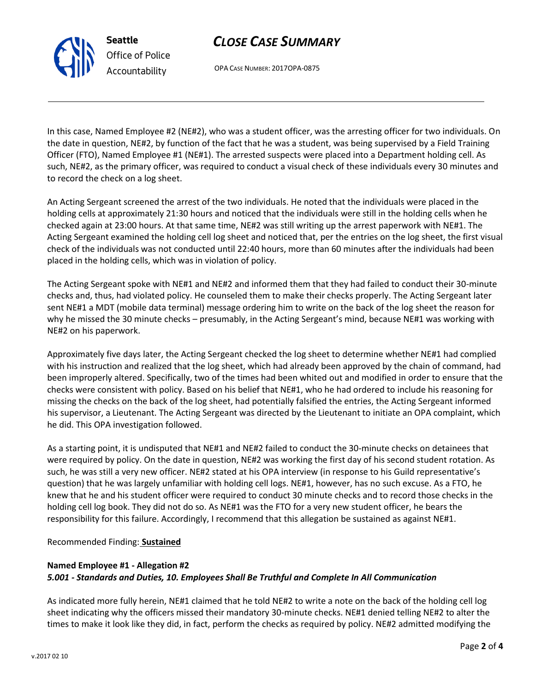## *CLOSE CASE SUMMARY*

OPA CASE NUMBER: 2017OPA-0875

In this case, Named Employee #2 (NE#2), who was a student officer, was the arresting officer for two individuals. On the date in question, NE#2, by function of the fact that he was a student, was being supervised by a Field Training Officer (FTO), Named Employee #1 (NE#1). The arrested suspects were placed into a Department holding cell. As such, NE#2, as the primary officer, was required to conduct a visual check of these individuals every 30 minutes and to record the check on a log sheet.

An Acting Sergeant screened the arrest of the two individuals. He noted that the individuals were placed in the holding cells at approximately 21:30 hours and noticed that the individuals were still in the holding cells when he checked again at 23:00 hours. At that same time, NE#2 was still writing up the arrest paperwork with NE#1. The Acting Sergeant examined the holding cell log sheet and noticed that, per the entries on the log sheet, the first visual check of the individuals was not conducted until 22:40 hours, more than 60 minutes after the individuals had been placed in the holding cells, which was in violation of policy.

The Acting Sergeant spoke with NE#1 and NE#2 and informed them that they had failed to conduct their 30-minute checks and, thus, had violated policy. He counseled them to make their checks properly. The Acting Sergeant later sent NE#1 a MDT (mobile data terminal) message ordering him to write on the back of the log sheet the reason for why he missed the 30 minute checks – presumably, in the Acting Sergeant's mind, because NE#1 was working with NE#2 on his paperwork.

Approximately five days later, the Acting Sergeant checked the log sheet to determine whether NE#1 had complied with his instruction and realized that the log sheet, which had already been approved by the chain of command, had been improperly altered. Specifically, two of the times had been whited out and modified in order to ensure that the checks were consistent with policy. Based on his belief that NE#1, who he had ordered to include his reasoning for missing the checks on the back of the log sheet, had potentially falsified the entries, the Acting Sergeant informed his supervisor, a Lieutenant. The Acting Sergeant was directed by the Lieutenant to initiate an OPA complaint, which he did. This OPA investigation followed.

As a starting point, it is undisputed that NE#1 and NE#2 failed to conduct the 30-minute checks on detainees that were required by policy. On the date in question, NE#2 was working the first day of his second student rotation. As such, he was still a very new officer. NE#2 stated at his OPA interview (in response to his Guild representative's question) that he was largely unfamiliar with holding cell logs. NE#1, however, has no such excuse. As a FTO, he knew that he and his student officer were required to conduct 30 minute checks and to record those checks in the holding cell log book. They did not do so. As NE#1 was the FTO for a very new student officer, he bears the responsibility for this failure. Accordingly, I recommend that this allegation be sustained as against NE#1.

#### Recommended Finding: **Sustained**

#### **Named Employee #1 - Allegation #2** *5.001 - Standards and Duties, 10. Employees Shall Be Truthful and Complete In All Communication*

As indicated more fully herein, NE#1 claimed that he told NE#2 to write a note on the back of the holding cell log sheet indicating why the officers missed their mandatory 30-minute checks. NE#1 denied telling NE#2 to alter the times to make it look like they did, in fact, perform the checks as required by policy. NE#2 admitted modifying the



**Seattle**

*Office of Police Accountability*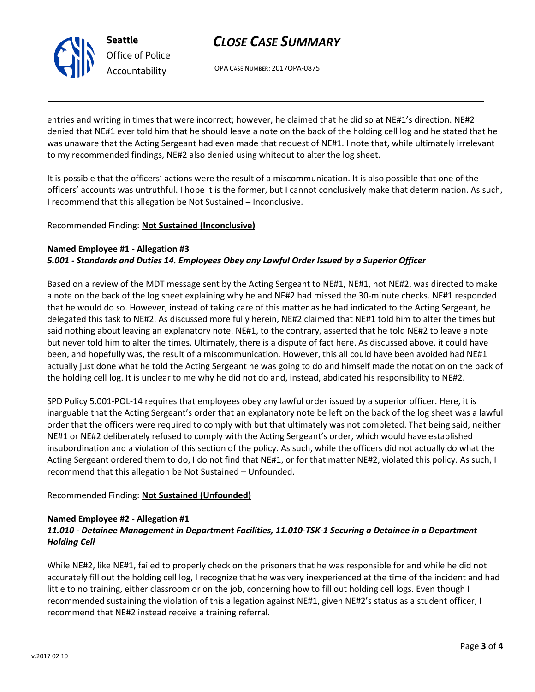

# *CLOSE CASE SUMMARY*

OPA CASE NUMBER: 2017OPA-0875

entries and writing in times that were incorrect; however, he claimed that he did so at NE#1's direction. NE#2 denied that NE#1 ever told him that he should leave a note on the back of the holding cell log and he stated that he was unaware that the Acting Sergeant had even made that request of NE#1. I note that, while ultimately irrelevant to my recommended findings, NE#2 also denied using whiteout to alter the log sheet.

It is possible that the officers' actions were the result of a miscommunication. It is also possible that one of the officers' accounts was untruthful. I hope it is the former, but I cannot conclusively make that determination. As such, I recommend that this allegation be Not Sustained – Inconclusive.

#### Recommended Finding: **Not Sustained (Inconclusive)**

#### **Named Employee #1 - Allegation #3**

#### *5.001 - Standards and Duties 14. Employees Obey any Lawful Order Issued by a Superior Officer*

Based on a review of the MDT message sent by the Acting Sergeant to NE#1, NE#1, not NE#2, was directed to make a note on the back of the log sheet explaining why he and NE#2 had missed the 30-minute checks. NE#1 responded that he would do so. However, instead of taking care of this matter as he had indicated to the Acting Sergeant, he delegated this task to NE#2. As discussed more fully herein, NE#2 claimed that NE#1 told him to alter the times but said nothing about leaving an explanatory note. NE#1, to the contrary, asserted that he told NE#2 to leave a note but never told him to alter the times. Ultimately, there is a dispute of fact here. As discussed above, it could have been, and hopefully was, the result of a miscommunication. However, this all could have been avoided had NE#1 actually just done what he told the Acting Sergeant he was going to do and himself made the notation on the back of the holding cell log. It is unclear to me why he did not do and, instead, abdicated his responsibility to NE#2.

SPD Policy 5.001-POL-14 requires that employees obey any lawful order issued by a superior officer. Here, it is inarguable that the Acting Sergeant's order that an explanatory note be left on the back of the log sheet was a lawful order that the officers were required to comply with but that ultimately was not completed. That being said, neither NE#1 or NE#2 deliberately refused to comply with the Acting Sergeant's order, which would have established insubordination and a violation of this section of the policy. As such, while the officers did not actually do what the Acting Sergeant ordered them to do, I do not find that NE#1, or for that matter NE#2, violated this policy. As such, I recommend that this allegation be Not Sustained – Unfounded.

#### Recommended Finding: **Not Sustained (Unfounded)**

#### **Named Employee #2 - Allegation #1**

## *11.010 - Detainee Management in Department Facilities, 11.010-TSK-1 Securing a Detainee in a Department Holding Cell*

While NE#2, like NE#1, failed to properly check on the prisoners that he was responsible for and while he did not accurately fill out the holding cell log, I recognize that he was very inexperienced at the time of the incident and had little to no training, either classroom or on the job, concerning how to fill out holding cell logs. Even though I recommended sustaining the violation of this allegation against NE#1, given NE#2's status as a student officer, I recommend that NE#2 instead receive a training referral.